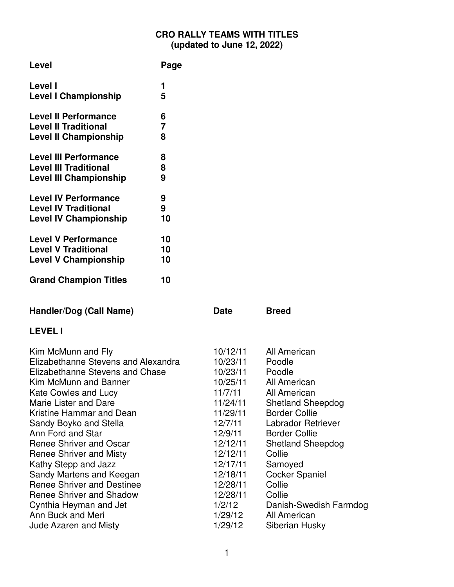### **CRO RALLY TEAMS WITH TITLES (updated to June 12, 2022)**

| Level                         | Page |
|-------------------------------|------|
| Level I                       | 1    |
| <b>Level I Championship</b>   | 5    |
| <b>Level II Performance</b>   | 6    |
| <b>Level II Traditional</b>   | 7    |
| <b>Level II Championship</b>  | 8    |
| <b>Level III Performance</b>  | 8    |
| <b>Level III Traditional</b>  | 8    |
| <b>Level III Championship</b> | 9    |
| <b>Level IV Performance</b>   | 9    |
| <b>Level IV Traditional</b>   | 9    |
| <b>Level IV Championship</b>  | 10   |
| <b>Level V Performance</b>    | 10   |
| <b>Level V Traditional</b>    | 10   |
| <b>Level V Championship</b>   | 10   |
| <b>Grand Champion Titles</b>  | 10   |

| Handler/Dog (Call Name)             | <b>Date</b> | <b>Breed</b>             |
|-------------------------------------|-------------|--------------------------|
| <b>LEVEL I</b>                      |             |                          |
| Kim McMunn and Fly                  | 10/12/11    | All American             |
| Elizabethanne Stevens and Alexandra | 10/23/11    | Poodle                   |
| Elizabethanne Stevens and Chase     | 10/23/11    | Poodle                   |
| Kim McMunn and Banner               | 10/25/11    | All American             |
| Kate Cowles and Lucy                | 11/7/11     | All American             |
| Marie Lister and Dare               | 11/24/11    | <b>Shetland Sheepdog</b> |
| Kristine Hammar and Dean            | 11/29/11    | <b>Border Collie</b>     |
| Sandy Boyko and Stella              | 12/7/11     | Labrador Retriever       |
| Ann Ford and Star                   | 12/9/11     | <b>Border Collie</b>     |
| Renee Shriver and Oscar             | 12/12/11    | <b>Shetland Sheepdog</b> |
| Renee Shriver and Misty             | 12/12/11    | Collie                   |
| Kathy Stepp and Jazz                | 12/17/11    | Samoyed                  |
| Sandy Martens and Keegan            | 12/18/11    | <b>Cocker Spaniel</b>    |
| <b>Renee Shriver and Destinee</b>   | 12/28/11    | Collie                   |
| Renee Shriver and Shadow            | 12/28/11    | Collie                   |
| Cynthia Heyman and Jet              | 1/2/12      | Danish-Swedish Farmdog   |
| Ann Buck and Meri                   | 1/29/12     | All American             |
| <b>Jude Azaren and Misty</b>        | 1/29/12     | Siberian Husky           |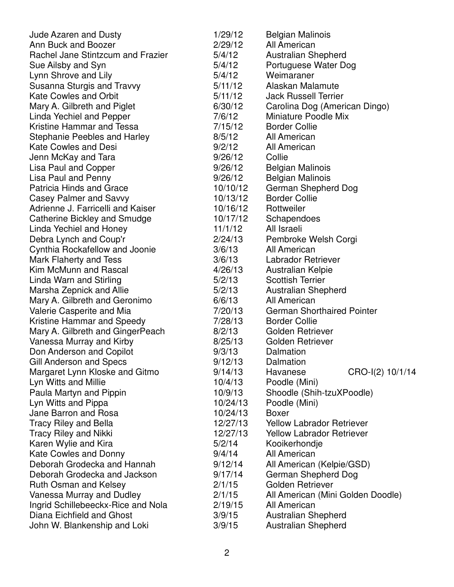| <b>Jude Azaren and Dusty</b>        | 1/29/12  | <b>Belgian Malinois</b>           |
|-------------------------------------|----------|-----------------------------------|
| Ann Buck and Boozer                 | 2/29/12  | All American                      |
| Rachel Jane Stintzcum and Frazier   | 5/4/12   | <b>Australian Shepherd</b>        |
| Sue Ailsby and Syn                  | 5/4/12   | Portuguese Water Dog              |
| Lynn Shrove and Lily                | 5/4/12   | Weimaraner                        |
| Susanna Sturgis and Travvy          | 5/11/12  | Alaskan Malamute                  |
| <b>Kate Cowles and Orbit</b>        | 5/11/12  | <b>Jack Russell Terrier</b>       |
| Mary A. Gilbreth and Piglet         | 6/30/12  | Carolina Dog (American Dingo)     |
| Linda Yechiel and Pepper            | 7/6/12   | <b>Miniature Poodle Mix</b>       |
| Kristine Hammar and Tessa           | 7/15/12  | <b>Border Collie</b>              |
| <b>Stephanie Peebles and Harley</b> | 8/5/12   | All American                      |
| <b>Kate Cowles and Desi</b>         | 9/2/12   | All American                      |
| Jenn McKay and Tara                 | 9/26/12  | Collie                            |
| Lisa Paul and Copper                | 9/26/12  | <b>Belgian Malinois</b>           |
| Lisa Paul and Penny                 | 9/26/12  | <b>Belgian Malinois</b>           |
| <b>Patricia Hinds and Grace</b>     | 10/10/12 | German Shepherd Dog               |
| <b>Casey Palmer and Savvy</b>       | 10/13/12 | <b>Border Collie</b>              |
| Adrienne J. Farricelli and Kaiser   | 10/16/12 | Rottweiler                        |
| <b>Catherine Bickley and Smudge</b> | 10/17/12 | Schapendoes                       |
| Linda Yechiel and Honey             | 11/1/12  | All Israeli                       |
| Debra Lynch and Coup'r              | 2/24/13  | Pembroke Welsh Corgi              |
| Cynthia Rockafellow and Joonie      | 3/6/13   | All American                      |
| Mark Flaherty and Tess              | 3/6/13   | Labrador Retriever                |
| Kim McMunn and Rascal               | 4/26/13  | Australian Kelpie                 |
| Linda Warn and Stirling             | 5/2/13   | <b>Scottish Terrier</b>           |
| Marsha Zepnick and Allie            | 5/2/13   | <b>Australian Shepherd</b>        |
| Mary A. Gilbreth and Geronimo       | 6/6/13   | All American                      |
| Valerie Casperite and Mia           | 7/20/13  | <b>German Shorthaired Pointer</b> |
| Kristine Hammar and Speedy          | 7/28/13  | <b>Border Collie</b>              |
| Mary A. Gilbreth and GingerPeach    | 8/2/13   | Golden Retriever                  |
| Vanessa Murray and Kirby            | 8/25/13  | Golden Retriever                  |
| Don Anderson and Copilot            | 9/3/13   | Dalmation                         |
| Gill Anderson and Specs             | 9/12/13  | Dalmation                         |
| Margaret Lynn Kloske and Gitmo      | 9/14/13  | CRO-I(2) 10/1/14<br>Havanese      |
| Lyn Witts and Millie                | 10/4/13  | Poodle (Mini)                     |
| Paula Martyn and Pippin             | 10/9/13  | Shoodle (Shih-tzuXPoodle)         |
| Lyn Witts and Pippa                 | 10/24/13 | Poodle (Mini)                     |
| Jane Barron and Rosa                | 10/24/13 | <b>Boxer</b>                      |
| <b>Tracy Riley and Bella</b>        | 12/27/13 | <b>Yellow Labrador Retriever</b>  |
| <b>Tracy Riley and Nikki</b>        | 12/27/13 | <b>Yellow Labrador Retriever</b>  |
| Karen Wylie and Kira                | 5/2/14   | Kooikerhondje                     |
| <b>Kate Cowles and Donny</b>        | 9/4/14   | All American                      |
| Deborah Grodecka and Hannah         | 9/12/14  | All American (Kelpie/GSD)         |
| Deborah Grodecka and Jackson        | 9/17/14  | German Shepherd Dog               |
| <b>Ruth Osman and Kelsey</b>        | 2/1/15   | Golden Retriever                  |
| Vanessa Murray and Dudley           | 2/1/15   | All American (Mini Golden Doodle) |
| Ingrid Schillebeeckx-Rice and Nola  | 2/19/15  | All American                      |
| Diana Eichfield and Ghost           | 3/9/15   | <b>Australian Shepherd</b>        |
| John W. Blankenship and Loki        | 3/9/15   | <b>Australian Shepherd</b>        |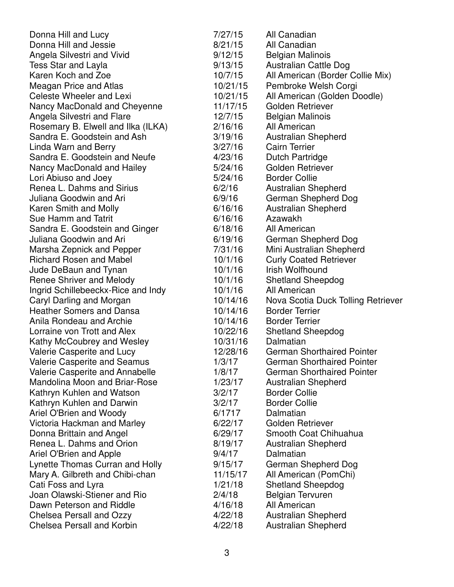| Donna Hill and Lucy                  | 7/27/15  | All Canadian                       |
|--------------------------------------|----------|------------------------------------|
| Donna Hill and Jessie                | 8/21/15  | All Canadian                       |
| Angela Silvestri and Vivid           | 9/12/15  | <b>Belgian Malinois</b>            |
| Tess Star and Layla                  | 9/13/15  | Australian Cattle Dog              |
| Karen Koch and Zoe                   | 10/7/15  | All American (Border Collie Mix)   |
| Meagan Price and Atlas               | 10/21/15 | Pembroke Welsh Corgi               |
| Celeste Wheeler and Lexi             | 10/21/15 | All American (Golden Doodle)       |
| Nancy MacDonald and Cheyenne         | 11/17/15 | Golden Retriever                   |
| Angela Silvestri and Flare           | 12/7/15  | <b>Belgian Malinois</b>            |
| Rosemary B. Elwell and Ilka (ILKA)   | 2/16/16  | All American                       |
| Sandra E. Goodstein and Ash          | 3/19/16  | <b>Australian Shepherd</b>         |
| Linda Warn and Berry                 | 3/27/16  | <b>Cairn Terrier</b>               |
| Sandra E. Goodstein and Neufe        | 4/23/16  | <b>Dutch Partridge</b>             |
| Nancy MacDonald and Hailey           | 5/24/16  | Golden Retriever                   |
| Lori Abiuso and Joey                 | 5/24/16  | <b>Border Collie</b>               |
| Renea L. Dahms and Sirius            | 6/2/16   | <b>Australian Shepherd</b>         |
| Juliana Goodwin and Ari              | 6/9/16   | German Shepherd Dog                |
| Karen Smith and Molly                | 6/16/16  | <b>Australian Shepherd</b>         |
| Sue Hamm and Tatrit                  | 6/16/16  | Azawakh                            |
| Sandra E. Goodstein and Ginger       | 6/18/16  | All American                       |
| Juliana Goodwin and Ari              | 6/19/16  | German Shepherd Dog                |
| Marsha Zepnick and Pepper            | 7/31/16  | Mini Australian Shepherd           |
| <b>Richard Rosen and Mabel</b>       | 10/1/16  | <b>Curly Coated Retriever</b>      |
| Jude DeBaun and Tynan                | 10/1/16  | Irish Wolfhound                    |
| Renee Shriver and Melody             | 10/1/16  | <b>Shetland Sheepdog</b>           |
| Ingrid Schillebeeckx-Rice and Indy   | 10/1/16  | All American                       |
| Caryl Darling and Morgan             | 10/14/16 | Nova Scotia Duck Tolling Retriever |
| <b>Heather Somers and Dansa</b>      | 10/14/16 | <b>Border Terrier</b>              |
| Anila Rondeau and Archie             | 10/14/16 | <b>Border Terrier</b>              |
| Lorraine von Trott and Alex          | 10/22/16 | <b>Shetland Sheepdog</b>           |
| Kathy McCoubrey and Wesley           | 10/31/16 | Dalmatian                          |
| Valerie Casperite and Lucy           | 12/28/16 | <b>German Shorthaired Pointer</b>  |
| Valerie Casperite and Seamus         | 1/3/17   | <b>German Shorthaired Pointer</b>  |
| Valerie Casperite and Annabelle      | 1/8/17   | <b>German Shorthaired Pointer</b>  |
| <b>Mandolina Moon and Briar-Rose</b> | 1/23/17  | <b>Australian Shepherd</b>         |
| Kathryn Kuhlen and Watson            | 3/2/17   | <b>Border Collie</b>               |
| Kathryn Kuhlen and Darwin            | 3/2/17   | <b>Border Collie</b>               |
| Ariel O'Brien and Woody              | 6/1717   | Dalmatian                          |
| Victoria Hackman and Marley          | 6/22/17  | Golden Retriever                   |
| Donna Brittain and Angel             | 6/29/17  | Smooth Coat Chihuahua              |
| Renea L. Dahms and Orion             | 8/19/17  | <b>Australian Shepherd</b>         |
| Ariel O'Brien and Apple              | 9/4/17   | Dalmatian                          |
| Lynette Thomas Curran and Holly      | 9/15/17  | German Shepherd Dog                |
| Mary A. Gilbreth and Chibi-chan      | 11/15/17 | All American (PomChi)              |
| Cati Foss and Lyra                   | 1/21/18  | <b>Shetland Sheepdog</b>           |
| Joan Olawski-Stiener and Rio         | 2/4/18   | <b>Belgian Tervuren</b>            |
| Dawn Peterson and Riddle             | 4/16/18  | All American                       |
| Chelsea Persall and Ozzy             | 4/22/18  | <b>Australian Shepherd</b>         |
| Chelsea Persall and Korbin           | 4/22/18  | <b>Australian Shepherd</b>         |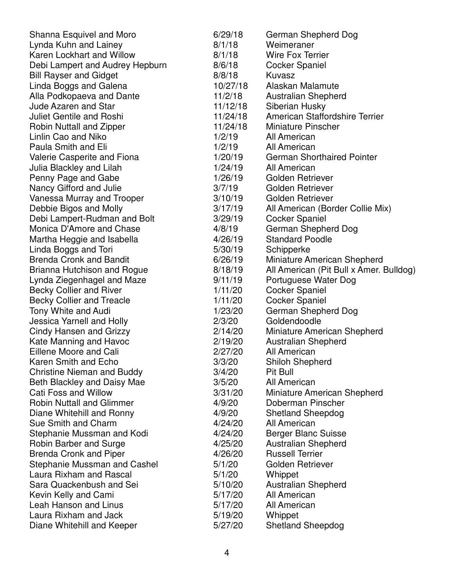| 6/29/18  | German Shepherd Dog                                                                                                                                                                                                                                                                                                            |
|----------|--------------------------------------------------------------------------------------------------------------------------------------------------------------------------------------------------------------------------------------------------------------------------------------------------------------------------------|
| 8/1/18   | Weimeraner                                                                                                                                                                                                                                                                                                                     |
| 8/1/18   | <b>Wire Fox Terrier</b>                                                                                                                                                                                                                                                                                                        |
| 8/6/18   | <b>Cocker Spaniel</b>                                                                                                                                                                                                                                                                                                          |
| 8/8/18   | Kuvasz                                                                                                                                                                                                                                                                                                                         |
| 10/27/18 | Alaskan Malamute                                                                                                                                                                                                                                                                                                               |
| 11/2/18  | Australian Shepherd                                                                                                                                                                                                                                                                                                            |
| 11/12/18 | Siberian Husky                                                                                                                                                                                                                                                                                                                 |
| 11/24/18 | American Staffordshire Terrier                                                                                                                                                                                                                                                                                                 |
| 11/24/18 | <b>Miniature Pinscher</b>                                                                                                                                                                                                                                                                                                      |
| 1/2/19   | All American                                                                                                                                                                                                                                                                                                                   |
| 1/2/19   | All American                                                                                                                                                                                                                                                                                                                   |
| 1/20/19  | <b>German Shorthaired Pointer</b>                                                                                                                                                                                                                                                                                              |
| 1/24/19  | All American                                                                                                                                                                                                                                                                                                                   |
| 1/26/19  | Golden Retriever                                                                                                                                                                                                                                                                                                               |
| 3/7/19   | Golden Retriever                                                                                                                                                                                                                                                                                                               |
| 3/10/19  | Golden Retriever                                                                                                                                                                                                                                                                                                               |
|          | All American (Border Collie Mix)                                                                                                                                                                                                                                                                                               |
|          | <b>Cocker Spaniel</b>                                                                                                                                                                                                                                                                                                          |
|          | German Shepherd Dog                                                                                                                                                                                                                                                                                                            |
|          | <b>Standard Poodle</b>                                                                                                                                                                                                                                                                                                         |
|          | Schipperke                                                                                                                                                                                                                                                                                                                     |
|          | Miniature American Shepherd                                                                                                                                                                                                                                                                                                    |
|          | All American (Pit Bull x Amer. Bulldog)                                                                                                                                                                                                                                                                                        |
|          | Portuguese Water Dog                                                                                                                                                                                                                                                                                                           |
|          | <b>Cocker Spaniel</b>                                                                                                                                                                                                                                                                                                          |
|          | <b>Cocker Spaniel</b>                                                                                                                                                                                                                                                                                                          |
|          | German Shepherd Dog                                                                                                                                                                                                                                                                                                            |
|          | Goldendoodle                                                                                                                                                                                                                                                                                                                   |
|          | Miniature American Shepherd                                                                                                                                                                                                                                                                                                    |
|          | <b>Australian Shepherd</b>                                                                                                                                                                                                                                                                                                     |
|          | All American                                                                                                                                                                                                                                                                                                                   |
|          | Shiloh Shepherd                                                                                                                                                                                                                                                                                                                |
|          | Pit Bull                                                                                                                                                                                                                                                                                                                       |
|          | All American                                                                                                                                                                                                                                                                                                                   |
|          | Miniature American Shepherd                                                                                                                                                                                                                                                                                                    |
| 4/9/20   | Doberman Pinscher                                                                                                                                                                                                                                                                                                              |
|          | <b>Shetland Sheepdog</b>                                                                                                                                                                                                                                                                                                       |
|          | All American                                                                                                                                                                                                                                                                                                                   |
|          | <b>Berger Blanc Suisse</b>                                                                                                                                                                                                                                                                                                     |
|          | <b>Australian Shepherd</b>                                                                                                                                                                                                                                                                                                     |
|          | <b>Russell Terrier</b>                                                                                                                                                                                                                                                                                                         |
|          | Golden Retriever                                                                                                                                                                                                                                                                                                               |
|          | Whippet                                                                                                                                                                                                                                                                                                                        |
|          | <b>Australian Shepherd</b>                                                                                                                                                                                                                                                                                                     |
|          | All American                                                                                                                                                                                                                                                                                                                   |
|          | All American                                                                                                                                                                                                                                                                                                                   |
|          | Whippet                                                                                                                                                                                                                                                                                                                        |
| 5/27/20  | <b>Shetland Sheepdog</b>                                                                                                                                                                                                                                                                                                       |
|          | 3/17/19<br>3/29/19<br>4/8/19<br>4/26/19<br>5/30/19<br>6/26/19<br>8/18/19<br>9/11/19<br>1/11/20<br>1/11/20<br>1/23/20<br>2/3/20<br>2/14/20<br>2/19/20<br>2/27/20<br>3/3/20<br>3/4/20<br>3/5/20<br>3/31/20<br>4/9/20<br>4/24/20<br>4/24/20<br>4/25/20<br>4/26/20<br>5/1/20<br>5/1/20<br>5/10/20<br>5/17/20<br>5/17/20<br>5/19/20 |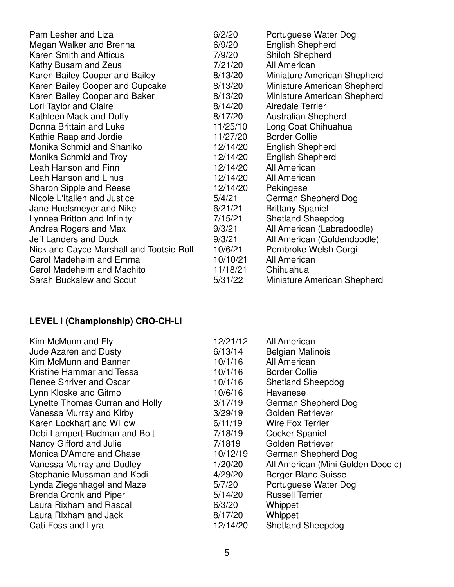| Pam Lesher and Liza                      | 6/2/20   | Portuguese Water Dog        |
|------------------------------------------|----------|-----------------------------|
| Megan Walker and Brenna                  | 6/9/20   | <b>English Shepherd</b>     |
| <b>Karen Smith and Atticus</b>           | 7/9/20   | <b>Shiloh Shepherd</b>      |
| Kathy Busam and Zeus                     | 7/21/20  | All American                |
| Karen Bailey Cooper and Bailey           | 8/13/20  | Miniature American Shepherd |
| Karen Bailey Cooper and Cupcake          | 8/13/20  | Miniature American Shepherd |
| Karen Bailey Cooper and Baker            | 8/13/20  | Miniature American Shepherd |
| Lori Taylor and Claire                   | 8/14/20  | Airedale Terrier            |
| Kathleen Mack and Duffy                  | 8/17/20  | <b>Australian Shepherd</b>  |
| Donna Brittain and Luke                  | 11/25/10 | Long Coat Chihuahua         |
| Kathie Raap and Jordie                   | 11/27/20 | <b>Border Collie</b>        |
| Monika Schmid and Shaniko                | 12/14/20 | <b>English Shepherd</b>     |
| Monika Schmid and Troy                   | 12/14/20 | <b>English Shepherd</b>     |
| Leah Hanson and Finn                     | 12/14/20 | All American                |
| Leah Hanson and Linus                    | 12/14/20 | All American                |
| <b>Sharon Sipple and Reese</b>           | 12/14/20 | Pekingese                   |
| Nicole L'Italien and Justice             | 5/4/21   | German Shepherd Dog         |
| Jane Huelsmeyer and Nike                 | 6/21/21  | <b>Brittany Spaniel</b>     |
| Lynnea Britton and Infinity              | 7/15/21  | <b>Shetland Sheepdog</b>    |
| Andrea Rogers and Max                    | 9/3/21   | All American (Labradoodle)  |
| <b>Jeff Landers and Duck</b>             | 9/3/21   | All American (Goldendoodle) |
| Nick and Cayce Marshall and Tootsie Roll | 10/6/21  | Pembroke Welsh Corgi        |
| Carol Madeheim and Emma                  | 10/10/21 | All American                |
| Carol Madeheim and Machito               | 11/18/21 | Chihuahua                   |
| Sarah Buckalew and Scout                 | 5/31/22  | Miniature American Shepherd |

# **LEVEL I (Championship) CRO-CH-LI**

| Kim McMunn and Fly<br><b>Jude Azaren and Dusty</b><br>Kim McMunn and Banner<br>Kristine Hammar and Tessa<br><b>Renee Shriver and Oscar</b><br>Lynn Kloske and Gitmo<br>Lynette Thomas Curran and Holly<br>Vanessa Murray and Kirby<br>Karen Lockhart and Willow<br>Debi Lampert-Rudman and Bolt<br>Nancy Gifford and Julie<br>Monica D'Amore and Chase<br>Vanessa Murray and Dudley<br>Stephanie Mussman and Kodi<br>Lynda Ziegenhagel and Maze<br><b>Brenda Cronk and Piper</b><br>Laura Rixham and Rascal | 12/21/12<br>6/13/14<br>10/1/16<br>10/1/16<br>10/1/16<br>10/6/16<br>3/17/19<br>3/29/19<br>6/11/19<br>7/18/19<br>7/1819<br>10/12/19<br>1/20/20<br>4/29/20<br>5/7/20<br>5/14/20<br>6/3/20 | All American<br><b>Belgian Malinois</b><br>All American<br><b>Border Collie</b><br><b>Shetland Sheepdog</b><br>Havanese<br>German Shepherd Dog<br>Golden Retriever<br><b>Wire Fox Terrier</b><br><b>Cocker Spaniel</b><br>Golden Retriever<br>German Shepherd Dog<br>All American (Mini Golden Doodle)<br><b>Berger Blanc Suisse</b><br>Portuguese Water Dog<br><b>Russell Terrier</b><br>Whippet |
|-------------------------------------------------------------------------------------------------------------------------------------------------------------------------------------------------------------------------------------------------------------------------------------------------------------------------------------------------------------------------------------------------------------------------------------------------------------------------------------------------------------|----------------------------------------------------------------------------------------------------------------------------------------------------------------------------------------|---------------------------------------------------------------------------------------------------------------------------------------------------------------------------------------------------------------------------------------------------------------------------------------------------------------------------------------------------------------------------------------------------|
| Laura Rixham and Jack                                                                                                                                                                                                                                                                                                                                                                                                                                                                                       | 8/17/20<br>12/14/20                                                                                                                                                                    | Whippet                                                                                                                                                                                                                                                                                                                                                                                           |
| Cati Foss and Lyra                                                                                                                                                                                                                                                                                                                                                                                                                                                                                          |                                                                                                                                                                                        | <b>Shetland Sheepdog</b>                                                                                                                                                                                                                                                                                                                                                                          |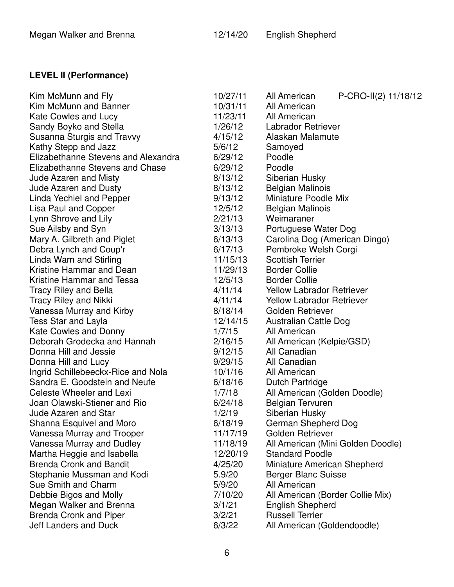## Megan Walker and Brenna 12/14/20 English Shepherd

## **LEVEL II (Performance)**

| Kim McMunn and Fly                  | 10/27/11 | P-CRO-II(2) 11/18/12<br>All American |
|-------------------------------------|----------|--------------------------------------|
| Kim McMunn and Banner               | 10/31/11 | All American                         |
| <b>Kate Cowles and Lucy</b>         | 11/23/11 | All American                         |
| Sandy Boyko and Stella              | 1/26/12  | Labrador Retriever                   |
| Susanna Sturgis and Travvy          | 4/15/12  | Alaskan Malamute                     |
| Kathy Stepp and Jazz                | 5/6/12   | Samoyed                              |
| Elizabethanne Stevens and Alexandra | 6/29/12  | Poodle                               |
| Elizabethanne Stevens and Chase     | 6/29/12  | Poodle                               |
| <b>Jude Azaren and Misty</b>        | 8/13/12  | Siberian Husky                       |
| <b>Jude Azaren and Dusty</b>        | 8/13/12  | <b>Belgian Malinois</b>              |
| Linda Yechiel and Pepper            | 9/13/12  | <b>Miniature Poodle Mix</b>          |
| Lisa Paul and Copper                | 12/5/12  | <b>Belgian Malinois</b>              |
| Lynn Shrove and Lily                | 2/21/13  | Weimaraner                           |
| Sue Ailsby and Syn                  | 3/13/13  | Portuguese Water Dog                 |
| Mary A. Gilbreth and Piglet         | 6/13/13  | Carolina Dog (American Dingo)        |
| Debra Lynch and Coup'r              | 6/17/13  | Pembroke Welsh Corgi                 |
| Linda Warn and Stirling             | 11/15/13 | <b>Scottish Terrier</b>              |
| Kristine Hammar and Dean            | 11/29/13 | <b>Border Collie</b>                 |
| Kristine Hammar and Tessa           | 12/5/13  | <b>Border Collie</b>                 |
| <b>Tracy Riley and Bella</b>        | 4/11/14  | <b>Yellow Labrador Retriever</b>     |
| <b>Tracy Riley and Nikki</b>        | 4/11/14  | <b>Yellow Labrador Retriever</b>     |
| Vanessa Murray and Kirby            | 8/18/14  | Golden Retriever                     |
| <b>Tess Star and Layla</b>          | 12/14/15 | Australian Cattle Dog                |
| <b>Kate Cowles and Donny</b>        | 1/7/15   | All American                         |
| Deborah Grodecka and Hannah         | 2/16/15  | All American (Kelpie/GSD)            |
| Donna Hill and Jessie               | 9/12/15  | All Canadian                         |
| Donna Hill and Lucy                 | 9/29/15  | All Canadian                         |
| Ingrid Schillebeeckx-Rice and Nola  | 10/1/16  | All American                         |
| Sandra E. Goodstein and Neufe       | 6/18/16  | <b>Dutch Partridge</b>               |
| Celeste Wheeler and Lexi            | 1/7/18   | All American (Golden Doodle)         |
| Joan Olawski-Stiener and Rio        | 6/24/18  | <b>Belgian Tervuren</b>              |
| <b>Jude Azaren and Star</b>         | 1/2/19   | Siberian Husky                       |
| Shanna Esquivel and Moro            | 6/18/19  | German Shepherd Dog                  |
| Vanessa Murray and Trooper          | 11/17/19 | Golden Retriever                     |
| Vanessa Murray and Dudley           | 11/18/19 | All American (Mini Golden Doodle)    |
| Martha Heggie and Isabella          | 12/20/19 | <b>Standard Poodle</b>               |
| <b>Brenda Cronk and Bandit</b>      | 4/25/20  | Miniature American Shepherd          |
| Stephanie Mussman and Kodi          | 5.9/20   | <b>Berger Blanc Suisse</b>           |
| Sue Smith and Charm                 | 5/9/20   | All American                         |
| Debbie Bigos and Molly              | 7/10/20  | All American (Border Collie Mix)     |
| Megan Walker and Brenna             | 3/1/21   | <b>English Shepherd</b>              |
| <b>Brenda Cronk and Piper</b>       | 3/2/21   | <b>Russell Terrier</b>               |
| Jeff Landers and Duck               | 6/3/22   | All American (Goldendoodle)          |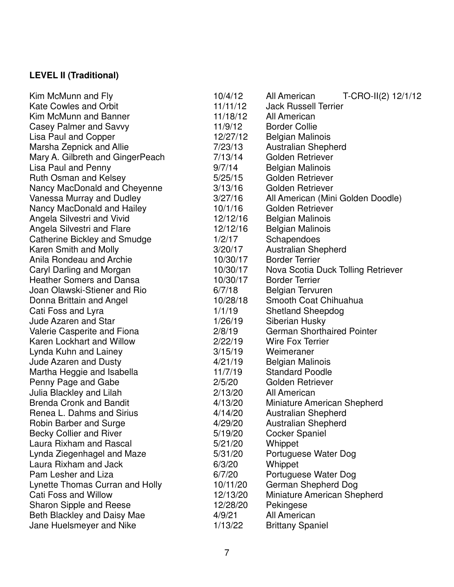# **LEVEL II (Traditional)**

| Kim McMunn and Fly               | 10/4/12  | T-CRO-II(2) 12/1/12<br>All American |
|----------------------------------|----------|-------------------------------------|
| <b>Kate Cowles and Orbit</b>     | 11/11/12 | <b>Jack Russell Terrier</b>         |
| Kim McMunn and Banner            | 11/18/12 | All American                        |
| Casey Palmer and Savvy           | 11/9/12  | <b>Border Collie</b>                |
| Lisa Paul and Copper             | 12/27/12 | <b>Belgian Malinois</b>             |
| Marsha Zepnick and Allie         | 7/23/13  | <b>Australian Shepherd</b>          |
| Mary A. Gilbreth and GingerPeach | 7/13/14  | Golden Retriever                    |
| Lisa Paul and Penny              | 9/7/14   | <b>Belgian Malinois</b>             |
| Ruth Osman and Kelsey            | 5/25/15  | Golden Retriever                    |
| Nancy MacDonald and Cheyenne     | 3/13/16  | Golden Retriever                    |
| Vanessa Murray and Dudley        | 3/27/16  | All American (Mini Golden Doodle)   |
| Nancy MacDonald and Hailey       | 10/1/16  | Golden Retriever                    |
| Angela Silvestri and Vivid       | 12/12/16 | <b>Belgian Malinois</b>             |
| Angela Silvestri and Flare       | 12/12/16 | <b>Belgian Malinois</b>             |
| Catherine Bickley and Smudge     | 1/2/17   | Schapendoes                         |
| Karen Smith and Molly            | 3/20/17  | <b>Australian Shepherd</b>          |
| Anila Rondeau and Archie         | 10/30/17 | <b>Border Terrier</b>               |
| Caryl Darling and Morgan         | 10/30/17 | Nova Scotia Duck Tolling Retriever  |
| <b>Heather Somers and Dansa</b>  | 10/30/17 | <b>Border Terrier</b>               |
| Joan Olawski-Stiener and Rio     | 6/7/18   | <b>Belgian Tervuren</b>             |
| Donna Brittain and Angel         | 10/28/18 | Smooth Coat Chihuahua               |
| Cati Foss and Lyra               | 1/1/19   | <b>Shetland Sheepdog</b>            |
| <b>Jude Azaren and Star</b>      | 1/26/19  | Siberian Husky                      |
| Valerie Casperite and Fiona      | 2/8/19   | <b>German Shorthaired Pointer</b>   |
| Karen Lockhart and Willow        | 2/22/19  | <b>Wire Fox Terrier</b>             |
| Lynda Kuhn and Lainey            | 3/15/19  | Weimeraner                          |
| <b>Jude Azaren and Dusty</b>     | 4/21/19  | <b>Belgian Malinois</b>             |
| Martha Heggie and Isabella       | 11/7/19  | <b>Standard Poodle</b>              |
| Penny Page and Gabe              | 2/5/20   | Golden Retriever                    |
| Julia Blackley and Lilah         | 2/13/20  | All American                        |
| <b>Brenda Cronk and Bandit</b>   | 4/13/20  | Miniature American Shepherd         |
| Renea L. Dahms and Sirius        | 4/14/20  | <b>Australian Shepherd</b>          |
| Robin Barber and Surge           | 4/29/20  | Australian Shepherd                 |
| <b>Becky Collier and River</b>   | 5/19/20  | <b>Cocker Spaniel</b>               |
| Laura Rixham and Rascal          | 5/21/20  | Whippet                             |
| Lynda Ziegenhagel and Maze       | 5/31/20  | Portuguese Water Dog                |
| Laura Rixham and Jack            | 6/3/20   | Whippet                             |
| Pam Lesher and Liza              | 6/7/20   | Portuguese Water Dog                |
| Lynette Thomas Curran and Holly  | 10/11/20 | German Shepherd Dog                 |
| Cati Foss and Willow             | 12/13/20 | Miniature American Shepherd         |
| <b>Sharon Sipple and Reese</b>   | 12/28/20 | Pekingese                           |
| Beth Blackley and Daisy Mae      | 4/9/21   | All American                        |
| Jane Huelsmeyer and Nike         | 1/13/22  | <b>Brittany Spaniel</b>             |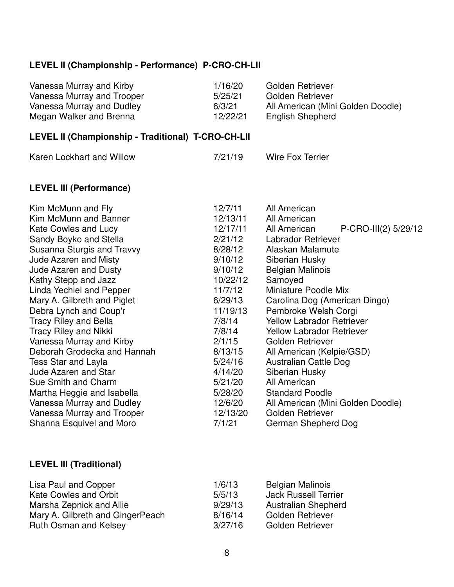### **LEVEL II (Championship - Performance) P-CRO-CH-LII**

| Vanessa Murray and Kirby   | 1/16/20  | Golden Retriever                  |
|----------------------------|----------|-----------------------------------|
| Vanessa Murray and Trooper | 5/25/21  | Golden Retriever                  |
| Vanessa Murray and Dudley  | 6/3/21   | All American (Mini Golden Doodle) |
| Megan Walker and Brenna    | 12/22/21 | English Shepherd                  |

## **LEVEL II (Championship - Traditional) T-CRO-CH-LII**

| Karen Lockhart and Willow | 7/21/19 | <b>Wire Fox Terrier</b> |
|---------------------------|---------|-------------------------|
|                           |         |                         |

### **LEVEL III (Performance)**

| Kim McMunn and Fly           | 12/7/11  | All American                         |
|------------------------------|----------|--------------------------------------|
| Kim McMunn and Banner        | 12/13/11 | All American                         |
| Kate Cowles and Lucy         | 12/17/11 | P-CRO-III(2) 5/29/12<br>All American |
| Sandy Boyko and Stella       | 2/21/12  | Labrador Retriever                   |
| Susanna Sturgis and Travvy   | 8/28/12  | Alaskan Malamute                     |
| <b>Jude Azaren and Misty</b> | 9/10/12  | Siberian Husky                       |
| <b>Jude Azaren and Dusty</b> | 9/10/12  | <b>Belgian Malinois</b>              |
| Kathy Stepp and Jazz         | 10/22/12 | Samoyed                              |
| Linda Yechiel and Pepper     | 11/7/12  | Miniature Poodle Mix                 |
| Mary A. Gilbreth and Piglet  | 6/29/13  | Carolina Dog (American Dingo)        |
| Debra Lynch and Coup'r       | 11/19/13 | Pembroke Welsh Corgi                 |
| <b>Tracy Riley and Bella</b> | 7/8/14   | <b>Yellow Labrador Retriever</b>     |
| <b>Tracy Riley and Nikki</b> | 7/8/14   | <b>Yellow Labrador Retriever</b>     |
| Vanessa Murray and Kirby     | 2/1/15   | Golden Retriever                     |
| Deborah Grodecka and Hannah  | 8/13/15  | All American (Kelpie/GSD)            |
| Tess Star and Layla          | 5/24/16  | Australian Cattle Dog                |
| <b>Jude Azaren and Star</b>  | 4/14/20  | Siberian Husky                       |
| Sue Smith and Charm          | 5/21/20  | All American                         |
| Martha Heggie and Isabella   | 5/28/20  | <b>Standard Poodle</b>               |
| Vanessa Murray and Dudley    | 12/6/20  | All American (Mini Golden Doodle)    |
| Vanessa Murray and Trooper   | 12/13/20 | Golden Retriever                     |
| Shanna Esquivel and Moro     | 7/1/21   | German Shepherd Dog                  |
|                              |          |                                      |

### **LEVEL III (Traditional)**

| Lisa Paul and Copper             | 1/6/13  | <b>Belgian Malinois</b>     |
|----------------------------------|---------|-----------------------------|
| Kate Cowles and Orbit            | 5/5/13  | <b>Jack Russell Terrier</b> |
| Marsha Zepnick and Allie         | 9/29/13 | <b>Australian Shepherd</b>  |
| Mary A. Gilbreth and GingerPeach | 8/16/14 | <b>Golden Retriever</b>     |
| <b>Ruth Osman and Kelsey</b>     | 3/27/16 | <b>Golden Retriever</b>     |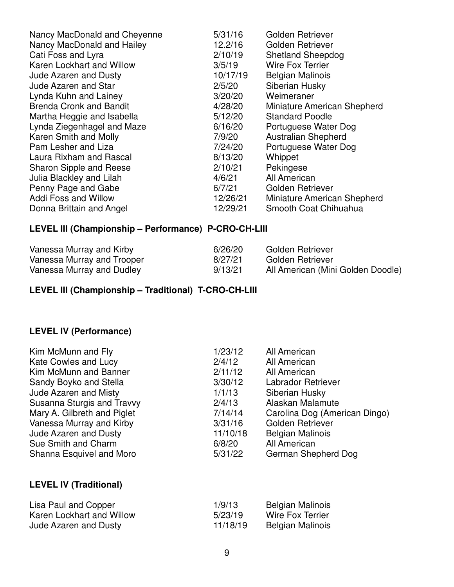| Nancy MacDonald and Cheyenne   | 5/31/16  | <b>Golden Retriever</b>     |
|--------------------------------|----------|-----------------------------|
| Nancy MacDonald and Hailey     | 12.2/16  | Golden Retriever            |
| Cati Foss and Lyra             | 2/10/19  | <b>Shetland Sheepdog</b>    |
| Karen Lockhart and Willow      | 3/5/19   | <b>Wire Fox Terrier</b>     |
| <b>Jude Azaren and Dusty</b>   | 10/17/19 | <b>Belgian Malinois</b>     |
| <b>Jude Azaren and Star</b>    | 2/5/20   | Siberian Husky              |
| Lynda Kuhn and Lainey          | 3/20/20  | Weimeraner                  |
| <b>Brenda Cronk and Bandit</b> | 4/28/20  | Miniature American Shepherd |
| Martha Heggie and Isabella     | 5/12/20  | <b>Standard Poodle</b>      |
| Lynda Ziegenhagel and Maze     | 6/16/20  | Portuguese Water Dog        |
| Karen Smith and Molly          | 7/9/20   | <b>Australian Shepherd</b>  |
| Pam Lesher and Liza            | 7/24/20  | Portuguese Water Dog        |
| Laura Rixham and Rascal        | 8/13/20  | Whippet                     |
| Sharon Sipple and Reese        | 2/10/21  | Pekingese                   |
| Julia Blackley and Lilah       | 4/6/21   | All American                |
| Penny Page and Gabe            | 6/7/21   | Golden Retriever            |
| <b>Addi Foss and Willow</b>    | 12/26/21 | Miniature American Shepherd |
| Donna Brittain and Angel       | 12/29/21 | Smooth Coat Chihuahua       |

### **LEVEL III (Championship – Performance) P-CRO-CH-LIII**

| Vanessa Murray and Kirby   | 6/26/20 | Golden Retriever                  |
|----------------------------|---------|-----------------------------------|
| Vanessa Murray and Trooper | 8/27/21 | Golden Retriever                  |
| Vanessa Murray and Dudley  | 9/13/21 | All American (Mini Golden Doodle) |

**LEVEL III (Championship – Traditional) T-CRO-CH-LIII**

### **LEVEL IV (Performance)**

| Kim McMunn and Fly            | 1/23/12  | All American                  |
|-------------------------------|----------|-------------------------------|
| Kate Cowles and Lucy          | 2/4/12   | All American                  |
| Kim McMunn and Banner         | 2/11/12  | All American                  |
| Sandy Boyko and Stella        | 3/30/12  | Labrador Retriever            |
| <b>Jude Azaren and Misty</b>  | 1/1/13   | Siberian Husky                |
| Susanna Sturgis and Travvy    | 2/4/13   | Alaskan Malamute              |
| Mary A. Gilbreth and Piglet   | 7/14/14  | Carolina Dog (American Dingo) |
| Vanessa Murray and Kirby      | 3/31/16  | Golden Retriever              |
| <b>Jude Azaren and Dusty</b>  | 11/10/18 | <b>Belgian Malinois</b>       |
| Sue Smith and Charm           | 6/8/20   | All American                  |
| Shanna Esquivel and Moro      | 5/31/22  | German Shepherd Dog           |
|                               |          |                               |
| <b>LEVEL IV (Traditional)</b> |          |                               |
|                               |          |                               |

| Lisa Paul and Copper      | 1/9/13   | <b>Belgian Malinois</b> |
|---------------------------|----------|-------------------------|
| Karen Lockhart and Willow | 5/23/19  | Wire Fox Terrier        |
| Jude Azaren and Dusty     | 11/18/19 | <b>Belgian Malinois</b> |